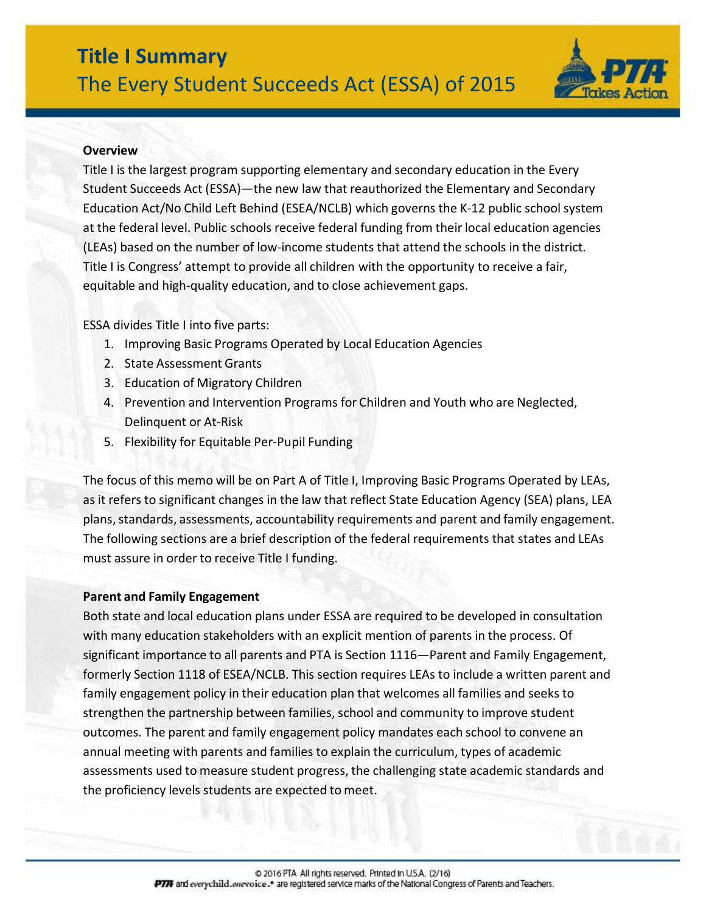

#### **Overview**

Title I is the largest program supporting elementary and secondary education in the Every Student Succeeds Act (ESSA)—the new law that reauthorized the Elementary and Secondary Education Act/No Child Left Behind (ESEA/NCLB) which governs the K-12 public schoolsystem at the federal level. Public schools receive federal funding from their local education agencies (LEAs) based on the number of low-income students that attend the schools in the district. Title I is Congress' attempt to provide all children with the opportunity to receive a fair, equitable and high-quality education, and to close achievement gaps.

ESSA divides Title I into five parts:

- 1. Improving Basic Programs Operated by Local Education Agencies
- 2. State Assessment Grants
- 3. Education of Migratory Children
- 4. Prevention and Intervention Programs for Children and Youth who are Neglected, Delinquent or At-Risk
- 5. Flexibility for Equitable Per-Pupil Funding

The focus of this memo will be on Part A of Title I, Improving Basic Programs Operated by LEAs, as it refers to significant changes in the law that reflect State Education Agency (SEA) plans, LEA plans, standards, assessments, accountability requirements and parent and family engagement. The following sections are a brief description of the federal requirements that states and LEAs must assure in order to receive Title I funding.

#### **Parent and Family Engagement**

Both state and local education plans under ESSA are required to be developed in consultation with many education stakeholders with an explicit mention of parents in the process. Of significant importance to all parents and PTA is Section 1116—Parent and Family Engagement, formerly Section 1118 of ESEA/NCLB. This section requires LEAs to include a written parent and family engagement policy in their education plan that welcomes all families and seeks to strengthen the partnership between families, school and community to improve student outcomes. The parent and family engagement policy mandates each school to convene an annual meeting with parents and families to explain the curriculum, types of academic assessments used to measure student progress, the challenging state academic standards and the proficiency levels students are expected to meet.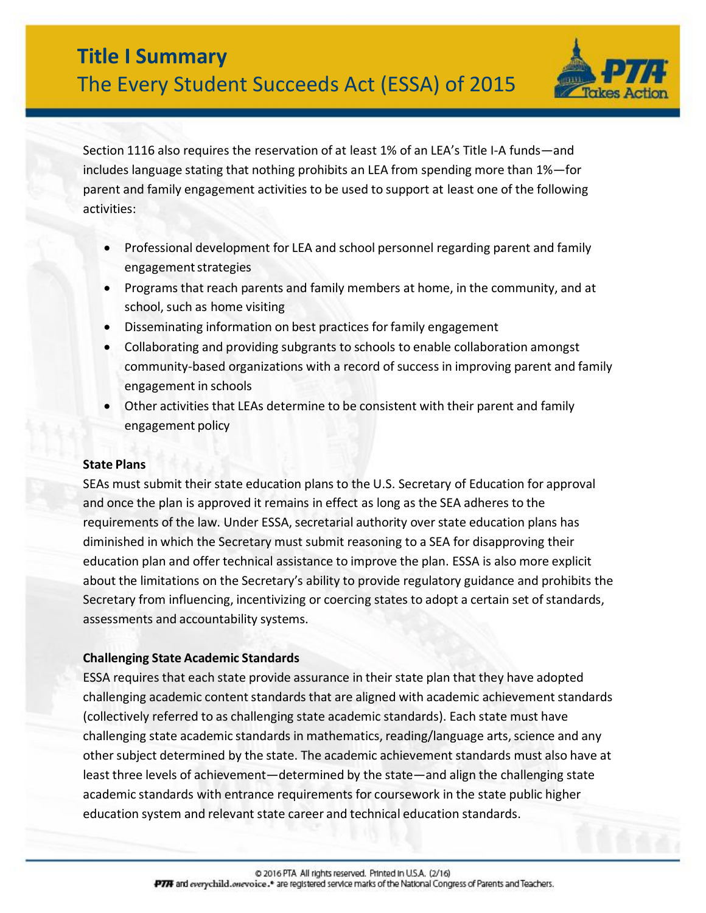

Section 1116 also requires the reservation of at least 1% of an LEA's Title I-A funds—and includes language stating that nothing prohibits an LEA from spending more than 1%—for parent and family engagement activities to be used to support at least one of the following activities:

- Professional development for LEA and school personnel regarding parent and family engagement strategies
- Programs that reach parents and family members at home, in the community, and at school, such as home visiting
- Disseminating information on best practices forfamily engagement
- Collaborating and providing subgrants to schools to enable collaboration amongst community-based organizations with a record of success in improving parent and family engagement in schools
- Other activities that LEAs determine to be consistent with their parent and family engagement policy

# **State Plans**

SEAs must submit their state education plans to the U.S. Secretary of Education for approval and once the plan is approved it remains in effect as long as the SEA adheres to the requirements of the law. Under ESSA, secretarial authority over state education plans has diminished in which the Secretary must submit reasoning to a SEA for disapproving their education plan and offer technical assistance to improve the plan. ESSA is also more explicit about the limitations on the Secretary's ability to provide regulatory guidance and prohibits the Secretary from influencing, incentivizing or coercing states to adopt a certain set of standards, assessments and accountability systems.

# **Challenging State Academic Standards**

ESSA requires that each state provide assurance in their state plan that they have adopted challenging academic content standards that are aligned with academic achievement standards (collectively referred to as challenging state academic standards). Each state must have challenging state academic standards in mathematics, reading/language arts, science and any other subject determined by the state. The academic achievement standards must also have at least three levels of achievement—determined by the state—and align the challenging state academic standards with entrance requirements for coursework in the state public higher education system and relevant state career and technical education standards.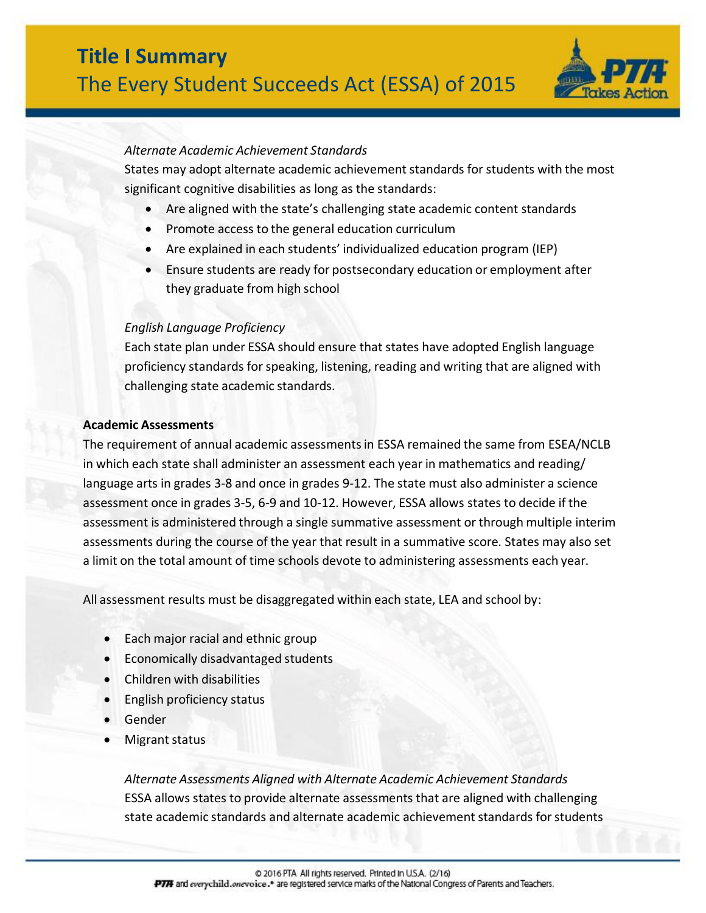

#### *Alternate Academic Achievement Standards*

States may adopt alternate academic achievement standards for students with the most significant cognitive disabilities as long as the standards:

- Are aligned with the state's challenging state academic content standards
- Promote access to the general education curriculum
- Are explained in each students' individualized education program (IEP)
- Ensure students are ready for postsecondary education or employment after they graduate from high school

### *English Language Proficiency*

Each state plan under ESSA should ensure that states have adopted English language proficiency standards for speaking, listening, reading and writing that are aligned with challenging state academic standards.

#### **Academic Assessments**

The requirement of annual academic assessmentsin ESSA remained the same from ESEA/NCLB in which each state shall administer an assessment each year in mathematics and reading/ language arts in grades 3-8 and once in grades 9-12. The state must also administer a science assessment once in grades 3-5, 6-9 and 10-12. However, ESSA allows states to decide if the assessment is administered through a single summative assessment or through multiple interim assessments during the course of the year that result in a summative score. States may also set a limit on the total amount of time schools devote to administering assessments each year.

All assessment results must be disaggregated within each state, LEA and school by:

- Each major racial and ethnic group
- Economically disadvantaged students
- Children with disabilities
- English proficiency status
- Gender
- Migrant status

*Alternate Assessments Aligned with Alternate Academic Achievement Standards* ESSA allows states to provide alternate assessments that are aligned with challenging state academic standards and alternate academic achievement standards for students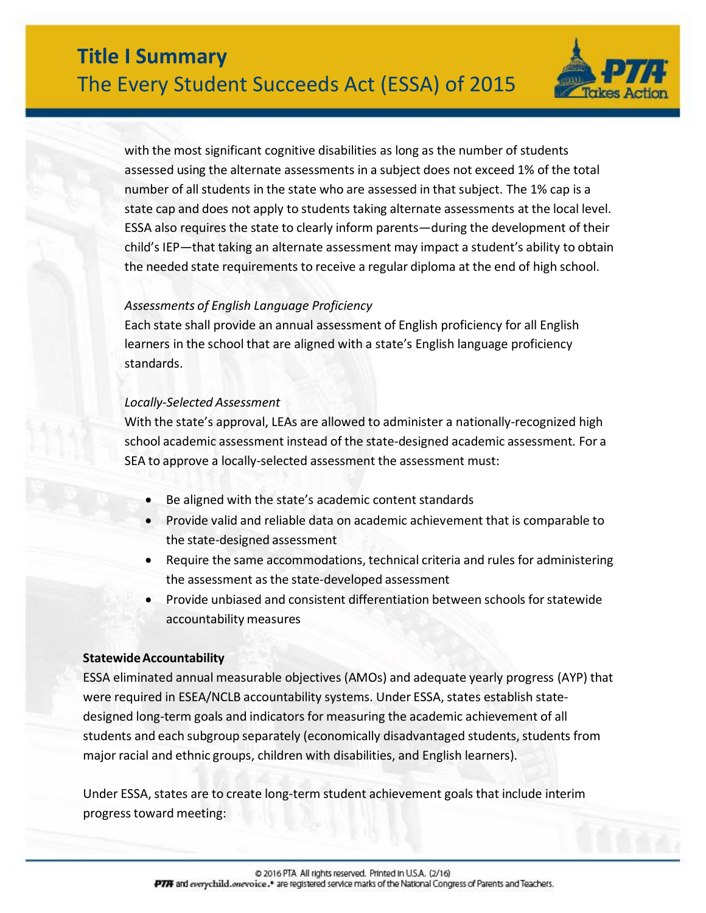

with the most significant cognitive disabilities as long as the number of students assessed using the alternate assessments in a subject does not exceed 1% of the total number of all students in the state who are assessed in that subject. The 1% cap is a state cap and does not apply to students taking alternate assessments at the local level. ESSA also requires the state to clearly inform parents—during the development of their child's IEP—that taking an alternate assessment may impact a student's ability to obtain the needed state requirements to receive a regular diploma at the end of high school.

### *Assessments of English Language Proficiency*

Each state shall provide an annual assessment of English proficiency for all English learners in the school that are aligned with a state's English language proficiency standards.

### *Locally-Selected Assessment*

With the state's approval, LEAs are allowed to administer a nationally-recognized high school academic assessment instead of the state-designed academic assessment. For a SEA to approve a locally-selected assessment the assessment must:

- Be aligned with the state's academic content standards
- Provide valid and reliable data on academic achievement that is comparable to the state-designed assessment
- Require the same accommodations, technical criteria and rules for administering the assessment as the state-developed assessment
- Provide unbiased and consistent differentiation between schools for statewide accountability measures

### **StatewideAccountability**

ESSA eliminated annual measurable objectives (AMOs) and adequate yearly progress (AYP) that were required in ESEA/NCLB accountability systems. Under ESSA, states establish statedesigned long-term goals and indicators for measuring the academic achievement of all students and each subgroup separately (economically disadvantaged students, students from major racial and ethnic groups, children with disabilities, and English learners).

Under ESSA, states are to create long-term student achievement goals that include interim progresstoward meeting: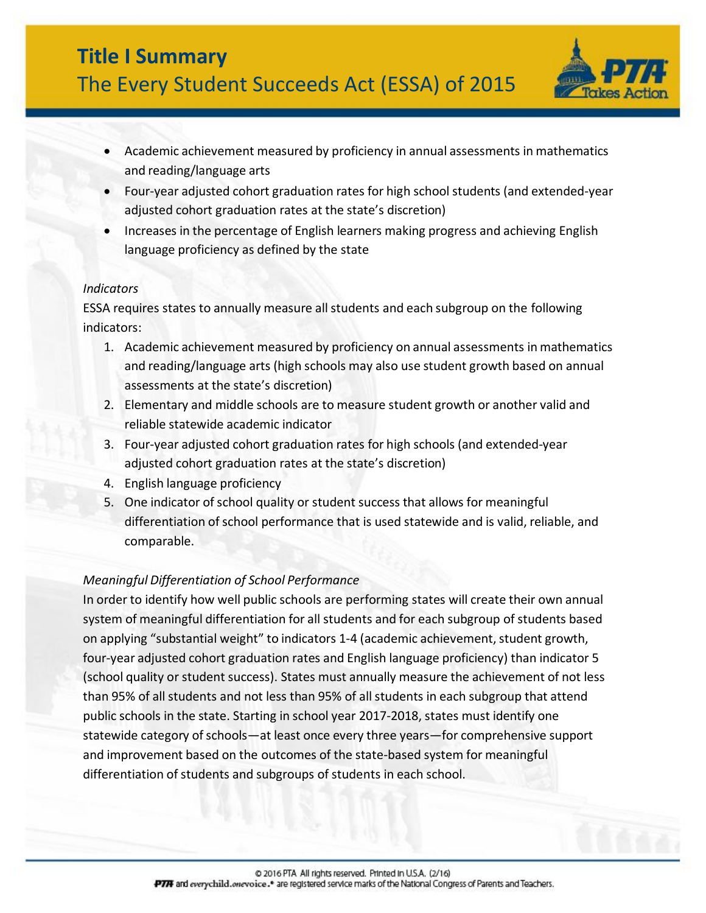

- Academic achievement measured by proficiency in annual assessments in mathematics and reading/language arts
- Four-year adjusted cohort graduation rates for high school students (and extended-year adjusted cohort graduation rates at the state's discretion)
- Increases in the percentage of English learners making progress and achieving English language proficiency as defined by the state

### *Indicators*

ESSA requires states to annually measure allstudents and each subgroup on the following indicators:

- 1. Academic achievement measured by proficiency on annual assessments in mathematics and reading/language arts (high schools may also use student growth based on annual assessments at the state's discretion)
- 2. Elementary and middle schools are to measure student growth or another valid and reliable statewide academic indicator
- 3. Four-year adjusted cohort graduation rates for high schools (and extended-year adjusted cohort graduation rates at the state's discretion)
- 4. English language proficiency
- 5. One indicator ofschool quality or student success that allows for meaningful differentiation of school performance that is used statewide and is valid, reliable, and comparable.

# *Meaningful Differentiation of School Performance*

In order to identify how well public schools are performing states will create their own annual system of meaningful differentiation for all students and for each subgroup of students based on applying "substantial weight" to indicators 1-4 (academic achievement, student growth, four-year adjusted cohort graduation rates and English language proficiency) than indicator 5 (school quality or student success). States must annually measure the achievement of not less than 95% of all students and not less than 95% of all students in each subgroup that attend public schools in the state. Starting in school year 2017-2018, states must identify one statewide category of schools—at least once every three years—for comprehensive support and improvement based on the outcomes of the state-based system for meaningful differentiation of students and subgroups of students in each school.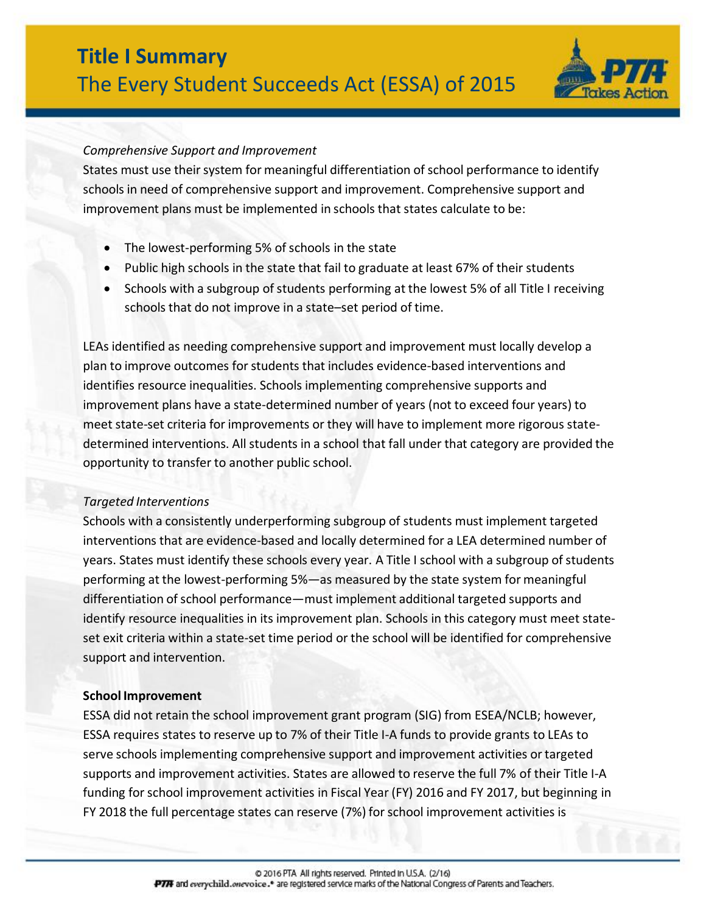

### *Comprehensive Support and Improvement*

States must use their system for meaningful differentiation of school performance to identify schools in need of comprehensive support and improvement. Comprehensive support and improvement plans must be implemented in schools that states calculate to be:

- The lowest-performing 5% of schools in the state
- Public high schools in the state that fail to graduate at least 67% of their students
- Schools with a subgroup of students performing at the lowest 5% of all Title I receiving schools that do not improve in a state–set period of time.

LEAs identified as needing comprehensive support and improvement must locally develop a plan to improve outcomes for students that includes evidence-based interventions and identifies resource inequalities. Schools implementing comprehensive supports and improvement plans have a state-determined number of years (not to exceed four years) to meet state-set criteria for improvements or they will have to implement more rigorous statedetermined interventions. All students in a school that fall under that category are provided the opportunity to transfer to another public school.

### *Targeted Interventions*

Schools with a consistently underperforming subgroup of students must implement targeted interventions that are evidence-based and locally determined for a LEA determined number of years. States must identify these schools every year. A Title I school with a subgroup of students performing at the lowest-performing 5%—as measured by the state system for meaningful differentiation of school performance—must implement additional targeted supports and identify resource inequalities in its improvement plan. Schools in this category must meet stateset exit criteria within a state-set time period or the school will be identified for comprehensive support and intervention.

### **School Improvement**

ESSA did not retain the school improvement grant program (SIG) from ESEA/NCLB; however, ESSA requires states to reserve up to 7% of their Title I-A funds to provide grants to LEAs to serve schools implementing comprehensive support and improvement activities or targeted supports and improvement activities. States are allowed to reserve the full 7% of their Title I-A funding forschool improvement activities in Fiscal Year (FY) 2016 and FY 2017, but beginning in FY 2018 the full percentage states can reserve (7%) forschool improvement activities is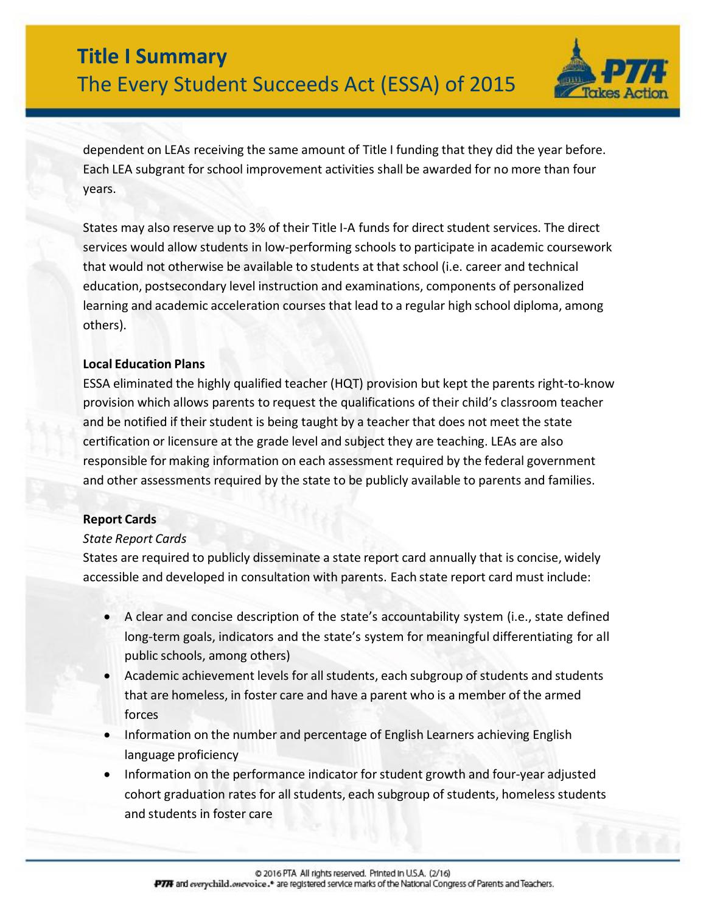

dependent on LEAs receiving the same amount of Title I funding that they did the year before. Each LEA subgrant for school improvement activities shall be awarded for no more than four years.

States may also reserve up to 3% of their Title I-A funds for direct student services. The direct services would allow students in low-performing schools to participate in academic coursework that would not otherwise be available to students at that school (i.e. career and technical education, postsecondary level instruction and examinations, components of personalized learning and academic acceleration courses that lead to a regular high school diploma, among others).

### **Local Education Plans**

ESSA eliminated the highly qualified teacher (HQT) provision but kept the parents right-to-know provision which allows parents to request the qualifications of their child's classroom teacher and be notified if their student is being taught by a teacher that does not meet the state certification or licensure at the grade level and subject they are teaching. LEAs are also responsible for making information on each assessment required by the federal government and other assessments required by the state to be publicly available to parents and families.

# **Report Cards**

# *State Report Cards*

States are required to publicly disseminate a state report card annually that is concise, widely accessible and developed in consultation with parents. Each state report card must include:

- A clear and concise description of the state's accountability system (i.e., state defined long-term goals, indicators and the state's system for meaningful differentiating for all public schools, among others)
- Academic achievement levels for all students, each subgroup of students and students that are homeless, in foster care and have a parent who is a member of the armed forces
- Information on the number and percentage of English Learners achieving English language proficiency
- Information on the performance indicator forstudent growth and four-year adjusted cohort graduation rates for all students, each subgroup of students, homeless students and students in foster care